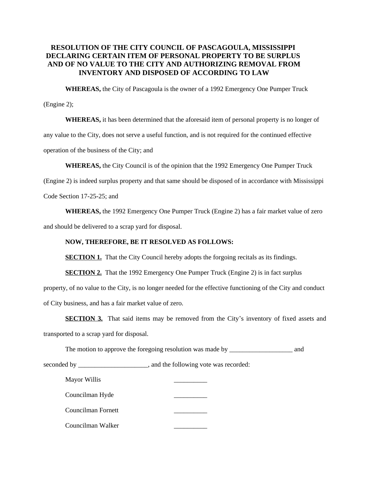## **RESOLUTION OF THE CITY COUNCIL OF PASCAGOULA, MISSISSIPPI DECLARING CERTAIN ITEM OF PERSONAL PROPERTY TO BE SURPLUS AND OF NO VALUE TO THE CITY AND AUTHORIZING REMOVAL FROM INVENTORY AND DISPOSED OF ACCORDING TO LAW**

**WHEREAS,** the City of Pascagoula is the owner of a 1992 Emergency One Pumper Truck

(Engine 2);

**WHEREAS,** it has been determined that the aforesaid item of personal property is no longer of any value to the City, does not serve a useful function, and is not required for the continued effective operation of the business of the City; and

**WHEREAS,** the City Council is of the opinion that the 1992 Emergency One Pumper Truck

(Engine 2) is indeed surplus property and that same should be disposed of in accordance with Mississippi

Code Section 17-25-25; and

**WHEREAS,** the 1992 Emergency One Pumper Truck (Engine 2) has a fair market value of zero and should be delivered to a scrap yard for disposal.

## **NOW, THEREFORE, BE IT RESOLVED AS FOLLOWS:**

**SECTION 1.** That the City Council hereby adopts the forgoing recitals as its findings.

**SECTION 2.** That the 1992 Emergency One Pumper Truck (Engine 2) is in fact surplus

property, of no value to the City, is no longer needed for the effective functioning of the City and conduct of City business, and has a fair market value of zero.

**SECTION 3.** That said items may be removed from the City's inventory of fixed assets and transported to a scrap yard for disposal.

The motion to approve the foregoing resolution was made by \_\_\_\_\_\_\_\_\_\_\_\_\_\_\_\_\_\_\_\_\_ and

seconded by \_\_\_\_\_\_\_\_\_\_\_\_\_\_\_\_\_\_\_\_, and the following vote was recorded:

| Mayor Willis       |  |
|--------------------|--|
| Councilman Hyde    |  |
| Councilman Fornett |  |
| Councilman Walker  |  |